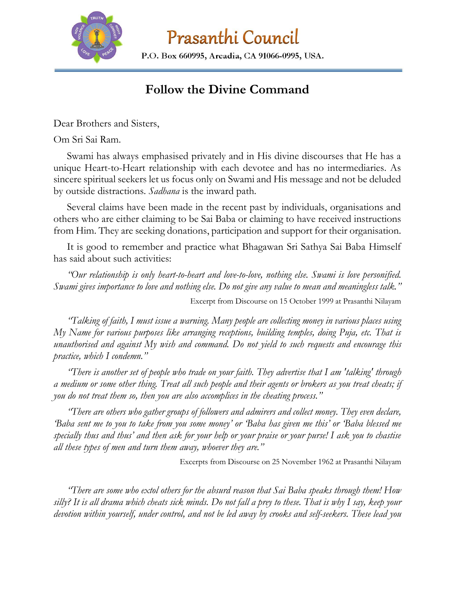

Prasanthi Council

P.O. Box 660995, Arcadia, CA 91066-0995, USA.

## **Follow the Divine Command**

Dear Brothers and Sisters,

Om Sri Sai Ram.

Swami has always emphasised privately and in His divine discourses that He has a unique Heart-to-Heart relationship with each devotee and has no intermediaries. As sincere spiritual seekers let us focus only on Swami and His message and not be deluded by outside distractions. *Sadhana* is the inward path.

Several claims have been made in the recent past by individuals, organisations and others who are either claiming to be Sai Baba or claiming to have received instructions from Him. They are seeking donations, participation and support for their organisation.

It is good to remember and practice what Bhagawan Sri Sathya Sai Baba Himself has said about such activities:

*"Our relationship is only heart-to-heart and love-to-love, nothing else. Swami is love personified. Swami gives importance to love and nothing else. Do not give any value to mean and meaningless talk."* 

Excerpt from Discourse on 15 October 1999 at Prasanthi Nilayam

*"Talking of faith, I must issue a warning. Many people are collecting money in various places using My Name for various purposes like arranging receptions, building temples, doing Puja, etc. That is unauthorised and against My wish and command. Do not yield to such requests and encourage this practice, which I condemn."* 

*"There is another set of people who trade on your faith. They advertise that I am 'talking' through a medium or some other thing. Treat all such people and their agents or brokers as you treat cheats; if you do not treat them so, then you are also accomplices in the cheating process."*

*"There are others who gather groups of followers and admirers and collect money. They even declare, 'Baba sent me to you to take from you some money' or 'Baba has given me this' or 'Baba blessed me specially thus and thus' and then ask for your help or your praise or your purse! I ask you to chastise all these types of men and turn them away, whoever they are."*

Excerpts from Discourse on 25 November 1962 at Prasanthi Nilayam

*"There are some who extol others for the absurd reason that Sai Baba speaks through them! How silly? It is all drama which cheats sick minds. Do not fall a prey to these. That is why I say, keep your devotion within yourself, under control, and not be led away by crooks and self-seekers. These lead you*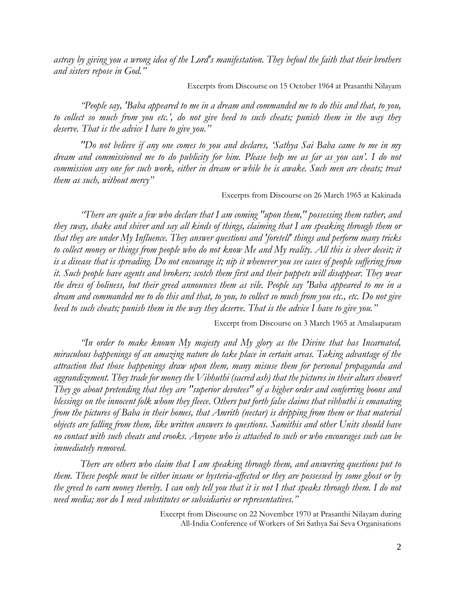*astray by giving you a wrong idea of the Lord's manifestation. They befoul the faith that their brothers and sisters repose in God."*

Excerpts from Discourse on 15 October 1964 at Prasanthi Nilayam

*"People say, 'Baba appeared to me in a dream and commanded me to do this and that, to you, to collect so much from you etc.', do not give heed to such cheats; punish them in the way they deserve. That is the advice I have to give you."*

*"Do not believe if any one comes to you and declares, 'Sathya Sai Baba came to me in my dream and commissioned me to do publicity for him. Please help me as far as you can'. I do not commission any one for such work, either in dream or while he is awake. Such men are cheats; treat them as such, without mercy"*

Excerpts from Discourse on 26 March 1965 at Kakinada

*"There are quite a few who declare that I am coming "upon them," possessing them rather, and they sway, shake and shiver and say all kinds of things, claiming that I am speaking through them or that they are under My Influence. They answer questions and 'foretell' things and perform many tricks to collect money or things from people who do not know Me and My reality. All this is sheer deceit; it is a disease that is spreading. Do not encourage it; nip it whenever you see cases of people suffering from it. Such people have agents and brokers; scotch them first and their puppets will disappear. They wear the dress of holiness, but their greed announces them as vile. People say 'Baba appeared to me in a dream and commanded me to do this and that, to you, to collect so much from you etc., etc. Do not give heed to such cheats; punish them in the way they deserve. That is the advice I have to give you."*

Excerpt from Discourse on 3 March 1965 at Amalaapuram

*"In order to make known My majesty and My glory as the Divine that has Incarnated, miraculous happenings of an amazing nature do take place in certain areas. Taking advantage of the attraction that those happenings draw upon them, many misuse them for personal propaganda and aggrandizement. They trade for money the Vibhuthi (sacred ash) that the pictures in their altars shower! They go about pretending that they are "superior devotees" of a higher order and conferring boons and blessings on the innocent folk whom they fleece. Others put forth false claims that vibhuthi is emanating from the pictures of Baba in their homes, that Amrith (nectar) is dripping from them or that material objects are falling from them, like written answers to questions. Samithis and other Units should have no contact with such cheats and crooks. Anyone who is attached to such or who encourages such can be immediately removed.*

*There are others who claim that I am speaking through them, and answering questions put to them. These people must be either insane or hysteria-affected or they are possessed by some ghost or by the greed to earn money thereby. I can only tell you that it is not I that speaks through them. I do not need media; nor do I need substitutes or subsidiaries or representatives."*

> Excerpt from Discourse on 22 November 1970 at Prasanthi Nilayam during All-India Conference of Workers of Sri Sathya Sai Seva Organisations